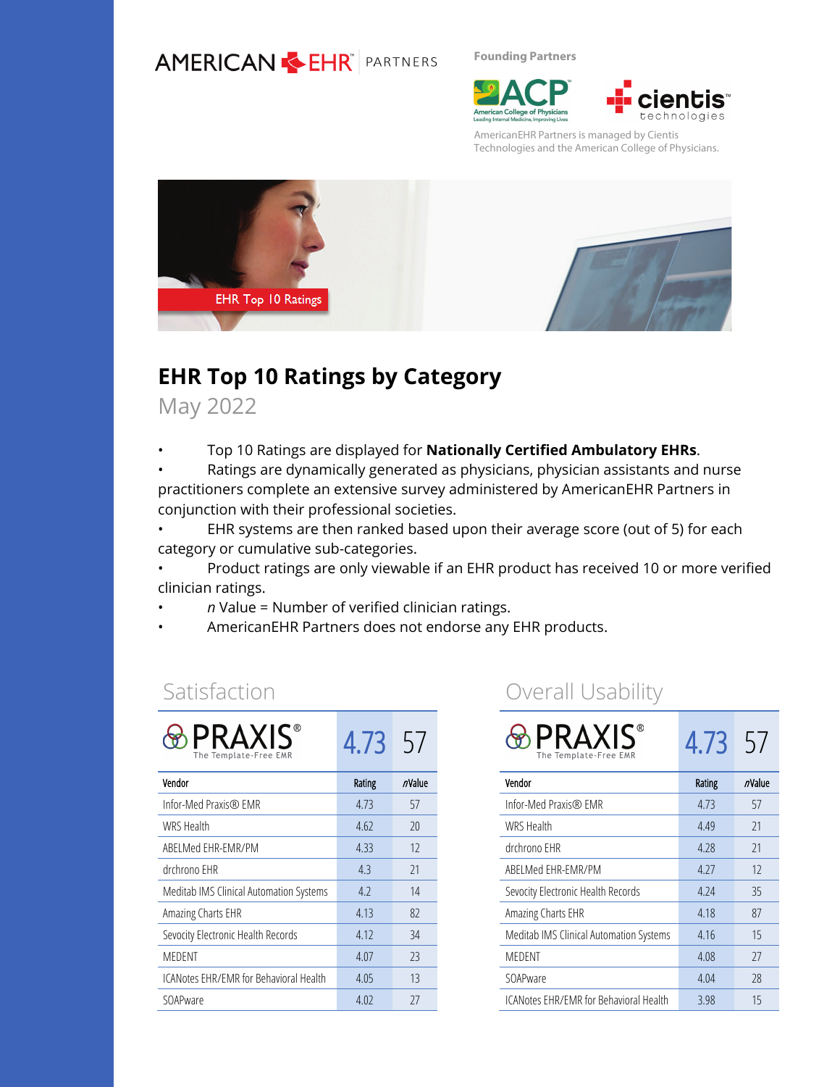#### **AMERICAN EHR** PARTNERS

**Founding Partners**





AmericanEHR Partners is managed by Cientis Technologies and the American College of Physicians.



### **EHR Top 10 Ratings by Category**

May 2022

• Top 10 Ratings are displayed for **Nationally Certified Ambulatory EHRs**.

• Ratings are dynamically generated as physicians, physician assistants and nurse practitioners complete an extensive survey administered by AmericanEHR Partners in conjunction with their professional societies.

• EHR systems are then ranked based upon their average score (out of 5) for each category or cumulative sub-categories.

• Product ratings are only viewable if an EHR product has received 10 or more verified clinician ratings.

- *n* Value = Number of verified clinician ratings.
- AmericanEHR Partners does not endorse any EHR products.

#### Satisfaction

| <b>PRAXIS</b> ®<br>The Template-Free EMR | 4.73   | $-5/$  |
|------------------------------------------|--------|--------|
| Vendor                                   | Rating | nValue |
| Infor-Med Praxis® EMR                    | 4.73   | 57     |
| WRS Health                               | 4.62   | 20     |
| ABELMed EHR-EMR/PM                       | 4.33   | 12     |
| drchrono EHR                             | 4.3    | 21     |
| Meditab IMS Clinical Automation Systems  | 4.2    | 14     |
| Amazing Charts EHR                       | 4.13   | 82     |
| Sevocity Electronic Health Records       | 4.12   | 34     |
| MEDENT                                   | 4.07   | 23     |
| ICANotes EHR/EMR for Behavioral Health   | 4.05   | 13     |
| SOAPware                                 | 4.02   | 27     |

#### Overall Usability

| <b>PRAXIS</b><br>The Template-Free EMR  | 4.73   | 57     |
|-----------------------------------------|--------|--------|
| Vendor                                  | Rating | nValue |
| Infor-Med Praxis® EMR                   | 4.73   | 57     |
| <b>WRS Health</b>                       | 4.49   | 21     |
| drchrono EHR                            | 4.28   | 21     |
| ABELMed EHR-EMR/PM                      | 4.27   | 12     |
| Sevocity Electronic Health Records      | 4.24   | 35     |
| Amazing Charts EHR                      | 4.18   | 87     |
| Meditab IMS Clinical Automation Systems | 4.16   | 15     |
| MEDENT                                  | 4.08   | 27     |
| SOAPware                                | 4.04   | 28     |
| ICANotes EHR/EMR for Behavioral Health  | 3.98   | 15     |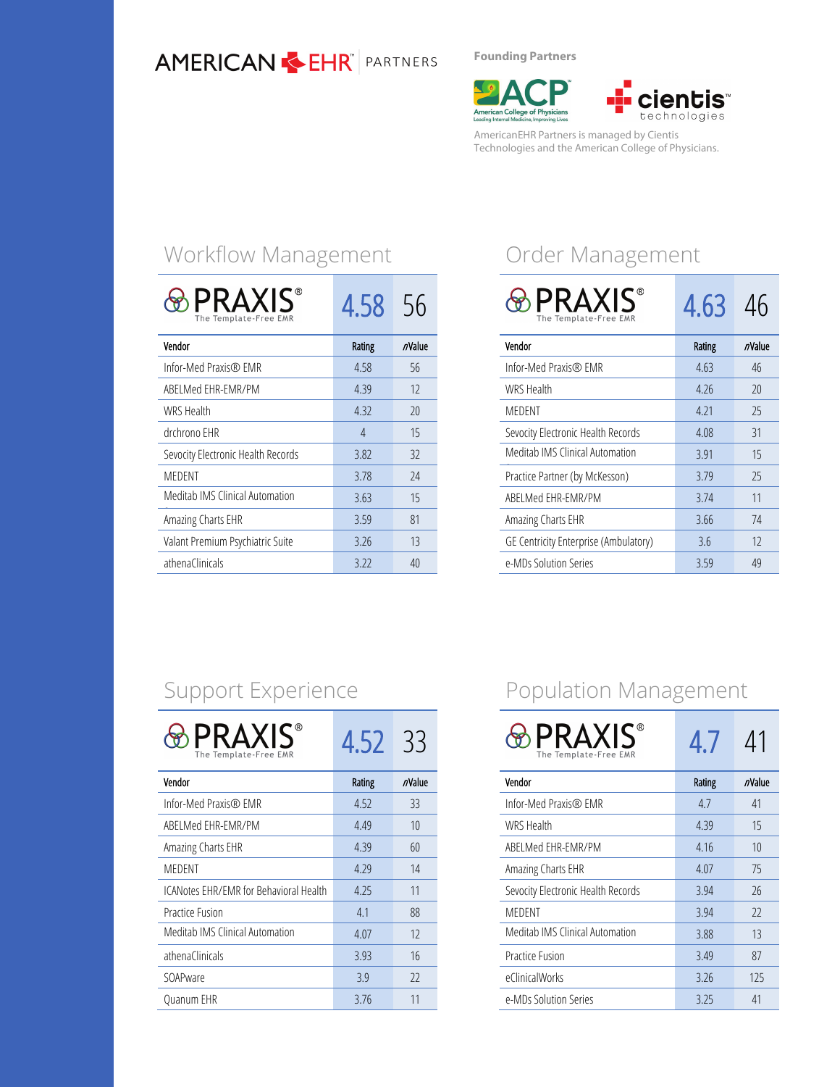#### **AMERICAN & EHR**<sup>*PARTNERS*</sup>

**Founding Partners**

American College of Physicians<br>Leading Internal Medicine, Improving Lives



AmericanEHR Partners is managed by Cientis Technologies and the American College of Physicians.

## Workflow Management

| <b>PRAXIS®</b><br>The Template-Free EMR | 4.58           | 56     |
|-----------------------------------------|----------------|--------|
| Vendor                                  | <b>Rating</b>  | nValue |
| Infor-Med Praxis® EMR                   | 4.58           | 56     |
| ABELMed EHR-EMR/PM                      | 4.39           | 12     |
| <b>WRS Health</b>                       | 4.32           | 20     |
| drchrono EHR                            | $\overline{A}$ | 15     |
| Sevocity Electronic Health Records      | 3.82           | 32     |
| MEDENT                                  | 3.78           | 24     |
| Meditab IMS Clinical Automation         | 3.63           | 15     |
| Amazing Charts EHR                      | 3.59           | 81     |
| Valant Premium Psychiatric Suite        | 3.26           | 13     |
| athenaClinicals                         | 3.22           | 40     |

## Order Management

| <b>PRAXIS®</b><br>The Template-Free EMR | 4.63   | 4h     |
|-----------------------------------------|--------|--------|
| Vendor                                  | Rating | nValue |
| Infor-Med Praxis® EMR                   | 4.63   | 46     |
| <b>WRS Health</b>                       | 4.26   | 20     |
| <b>MEDENT</b>                           | 4.21   | 25     |
| Sevocity Electronic Health Records      | 4.08   | 31     |
| Meditab IMS Clinical Automation         | 3.91   | 15     |
| Practice Partner (by McKesson)          | 3.79   | 25     |
| ABELMed EHR-EMR/PM                      | 3.74   | 11     |
| Amazing Charts EHR                      | 3.66   | 74     |
| GE Centricity Enterprise (Ambulatory)   | 3.6    | 12     |
| e-MDs Solution Series                   | 3.59   | 49     |

## Support Experience

| PRAXIS®<br>The Template-Free EMR       | 4.52   | -33    |
|----------------------------------------|--------|--------|
| Vendor                                 | Rating | nValue |
| Infor-Med Praxis® EMR                  | 4.52   | 33     |
| ABELMed EHR-EMR/PM                     | 4.49   | 10     |
| Amazing Charts EHR                     | 4.39   | 60     |
| MEDENT                                 | 4.29   | 14     |
| ICANotes EHR/EMR for Behavioral Health | 4.25   | 11     |
| <b>Practice Fusion</b>                 | 4.1    | 88     |
| Meditab IMS Clinical Automation        | 4.07   | 12     |
| athenaClinicals                        | 3.93   | 16     |
| SOAPware                               | 3.9    | 22     |
| Quanum EHR                             | 3.76   | 11     |

## Population Management

| <b>PRAXIS®</b><br>The Template-Free EMR | 4.7    | 41     |
|-----------------------------------------|--------|--------|
| Vendor                                  | Rating | nValue |
| Infor-Med Praxis® EMR                   | 4.7    | 41     |
| <b>WRS Health</b>                       | 4.39   | 15     |
| ABELMed EHR-EMR/PM                      | 4.16   | 10     |
| Amazing Charts EHR                      | 4.07   | 75     |
| Sevocity Electronic Health Records      | 3.94   | 26     |
| MEDENT                                  | 3.94   | 22     |
| Meditab IMS Clinical Automation         | 3.88   | 13     |
| Practice Fusion                         | 3.49   | 87     |
| eClinicalWorks                          | 3.26   | 125    |
| e-MDs Solution Series                   | 3.25   | 41     |